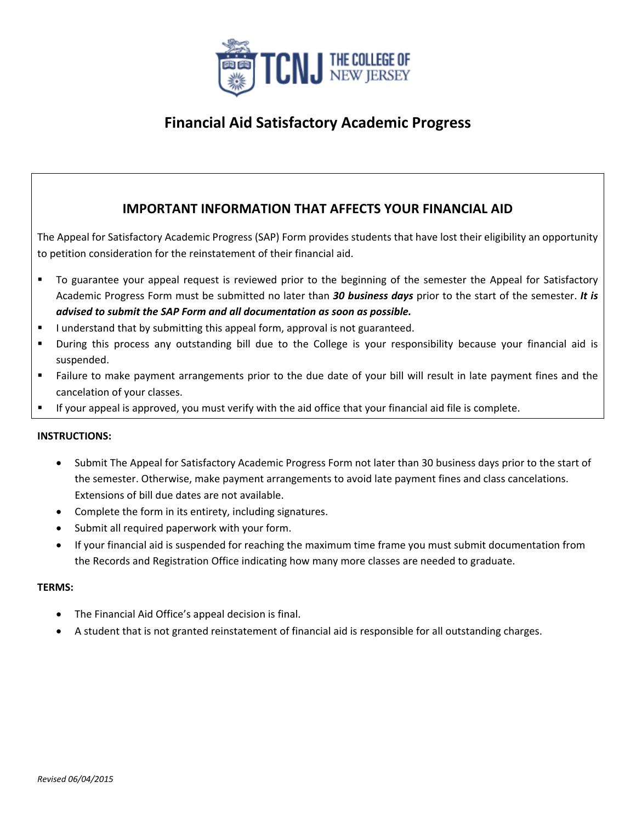

# **Financial Aid Satisfactory Academic Progress**

### **IMPORTANT INFORMATION THAT AFFECTS YOUR FINANCIAL AID**

The Appeal for Satisfactory Academic Progress (SAP) Form provides students that have lost their eligibility an opportunity to petition consideration for the reinstatement of their financial aid.

- To guarantee your appeal request is reviewed prior to the beginning of the semester the Appeal for Satisfactory Academic Progress Form must be submitted no later than *30 business days* prior to the start of the semester. *It is advised to submit the SAP Form and all documentation as soon as possible.*
- I understand that by submitting this appeal form, approval is not guaranteed.
- During this process any outstanding bill due to the College is your responsibility because your financial aid is suspended.
- Failure to make payment arrangements prior to the due date of your bill will result in late payment fines and the cancelation of your classes.
- If your appeal is approved, you must verify with the aid office that your financial aid file is complete.

### **INSTRUCTIONS:**

- Submit The Appeal for Satisfactory Academic Progress Form not later than 30 business days prior to the start of the semester. Otherwise, make payment arrangements to avoid late payment fines and class cancelations. Extensions of bill due dates are not available.
- Complete the form in its entirety, including signatures.
- Submit all required paperwork with your form.
- If your financial aid is suspended for reaching the maximum time frame you must submit documentation from the Records and Registration Office indicating how many more classes are needed to graduate.

#### **TERMS:**

- The Financial Aid Office's appeal decision is final.
- A student that is not granted reinstatement of financial aid is responsible for all outstanding charges.